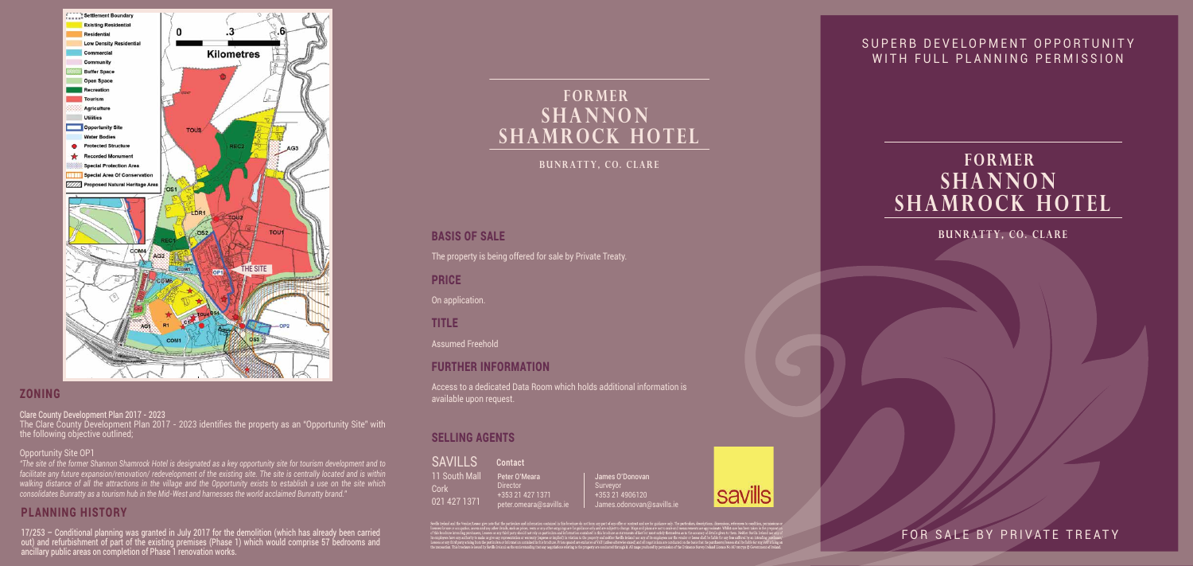James O'Donovan Surveyor +353 21 4906120 James.odonovan@savills.ie



FOR SALE BY PRIVATE TREATY

## SUPERB DEVELOPMENT OPPORTUNITY WITH FULL PLANNING PERMISSION

## BASIS OF SALE

| <b>SAVILLS</b> | Contact         |
|----------------|-----------------|
| 11 South Mall  | Peter O'M       |
| Cork           | <b>Director</b> |
| 021 427 1371   | $+35321$        |
|                | peter.om        |

Meara 1 427 1371 eara@savills.ie

The property is being offered for sale by Private Treaty.

PRICE

On application.

TITLE

Assumed Freehold

## FURTHER INFORMATION

Access to a dedicated Data Room which holds additional information is available upon request.

## SELLING AGENTS

## PLANNING HISTORY

17/253 – Conditional planning was granted in July 2017 for the demolition (which has already been carried out) and refurbishment of part of the existing premises (Phase 1) which would comprise 57 bedrooms and ancillary public areas on completion of Phase 1 renovation works.

## ZONING

Clare County Development Plan 2017 - 2023

The Clare County Development Plan 2017 - 2023 identifies the property as an "Opportunity Site" with the following objective outlined;

#### Opportunity Site OP1

*"The site of the former Shannon Shamrock Hotel is designated as a key opportunity site for tourism development and to facilitate any future expansion/renovation/ redevelopment of the existing site. The site is centrally located and is within walking distance of all the attractions in the village and the Opportunity exists to establish a use on the site which consolidates Bunratty as a tourism hub in the Mid-West and harnesses the world acclaimed Bunratty brand."*

**Bunratty, Co. Clare**

# **FORMER SHANNON SHAMROCK HOTEL**

**Bunratty, Co. Clare**

# **FORMER SHANNON SHAMROCK HOTEL**